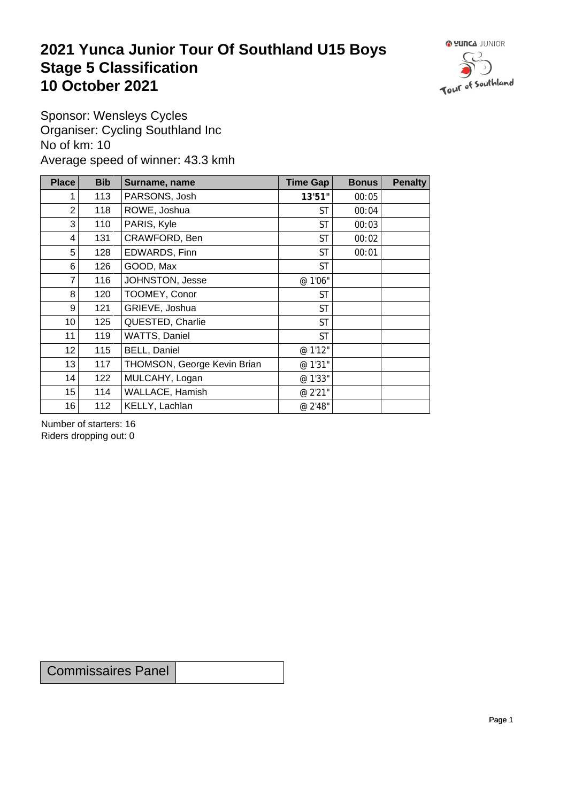## **2021 Yunca Junior Tour Of Southland U15 Boys** Stage 5 Classification<br>10 October 2021 **10 October 2021**



Sponsor: Wensleys Cycles Organiser: Cycling Southland Inc No of km: 10 Average speed of winner: 43.3 kmh

| <b>Place</b>    | <b>Bib</b> | Surname, name               | Time Gap  | <b>Bonus</b> | <b>Penalty</b> |
|-----------------|------------|-----------------------------|-----------|--------------|----------------|
|                 | 113        | PARSONS, Josh               | 13'51"    | 00:05        |                |
| $\overline{2}$  | 118        | ROWE, Joshua                | <b>ST</b> | 00:04        |                |
| 3               | 110        | PARIS, Kyle                 | <b>ST</b> | 00:03        |                |
| 4               | 131        | CRAWFORD, Ben               | <b>ST</b> | 00:02        |                |
| 5               | 128        | EDWARDS, Finn               | <b>ST</b> | 00:01        |                |
| 6               | 126        | GOOD, Max                   | <b>ST</b> |              |                |
| 7               | 116        | JOHNSTON, Jesse             | @ 1'06"   |              |                |
| 8               | 120        | TOOMEY, Conor               | <b>ST</b> |              |                |
| 9               | 121        | GRIEVE, Joshua              | <b>ST</b> |              |                |
| 10 <sup>1</sup> | 125        | QUESTED, Charlie            | <b>ST</b> |              |                |
| 11              | 119        | WATTS, Daniel               | <b>ST</b> |              |                |
| 12 <sub>2</sub> | 115        | <b>BELL, Daniel</b>         | @ 1'12"   |              |                |
| 13              | 117        | THOMSON, George Kevin Brian | @ 1'31"   |              |                |
| 14              | 122        | MULCAHY, Logan              | @ 1'33"   |              |                |
| 15              | 114        | WALLACE, Hamish             | @ 2'21"   |              |                |
| 16              | 112        | KELLY, Lachlan              | @ 2'48"   |              |                |

Number of starters: 16 Riders dropping out: 0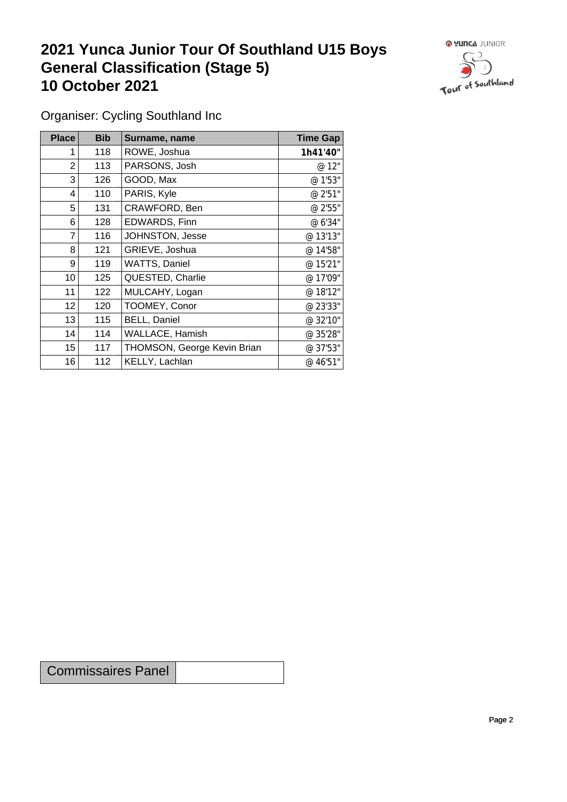## **2021 Yunca Junior Tour Of Southland U15 Boys General Classification (Stage 5)**<br> **10 October 2021 10 October 2021**



Organiser: Cycling Southland Inc

| Place            | <b>Bib</b> | Surname, name               | <b>Time Gap</b> |
|------------------|------------|-----------------------------|-----------------|
|                  | 118        | ROWE, Joshua                | 1h41'40"        |
| 2                | 113        | PARSONS, Josh               | @ 12"           |
| 3                | 126        | GOOD, Max                   | @ 1'53"         |
| 4                | 110        | PARIS, Kyle                 | @ 2'51"         |
| 5                | 131        | CRAWFORD, Ben               | @ 2'55"         |
| 6                | 128        | EDWARDS, Finn               | @ 6'34"         |
| $\overline{7}$   | 116        | JOHNSTON, Jesse             | @ 13'13"        |
| 8                | 121        | GRIEVE, Joshua              | @ 14'58"        |
| 9                | 119        | WATTS, Daniel               | @ 15'21"        |
| 10 <sup>°</sup>  | 125        | QUESTED, Charlie            | @ 17'09"        |
| 11               | 122        | MULCAHY, Logan              | @ 18'12"        |
| 12               | 120        | TOOMEY, Conor               | @ 23'33"        |
| 13               | 115        | <b>BELL, Daniel</b>         | @ 32'10"        |
| 14               | 114        | WALLACE, Hamish             | @ 35'28"        |
| 15 <sub>15</sub> | 117        | THOMSON, George Kevin Brian | @ 37'53"        |
| 16               | 112        | KELLY, Lachlan              | @ 46'51"        |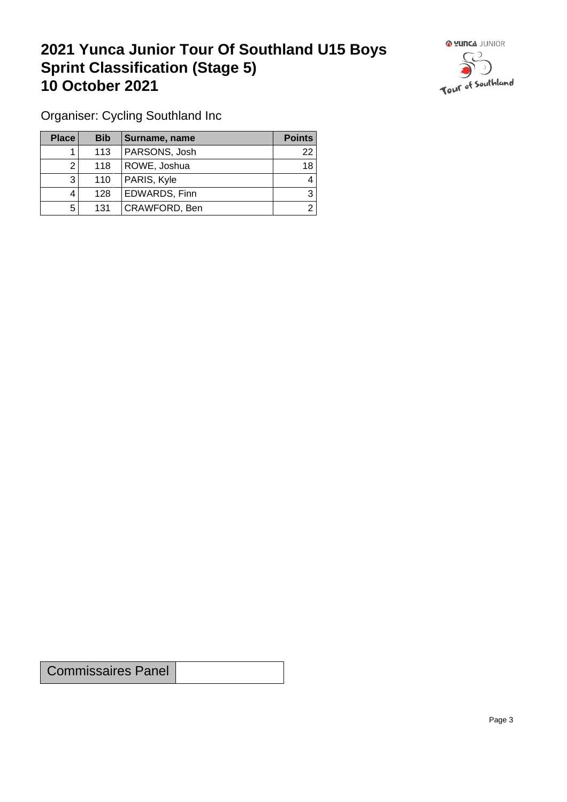## **2021 Yunca Junior Tour Of Southland U15 Boys Sprint Classification (Stage 5) 10 October 2021**



Organiser: Cycling Southland Inc

| <b>Place</b> | <b>Bib</b> | Surname, name        | <b>Points</b> |
|--------------|------------|----------------------|---------------|
|              | 113        | PARSONS, Josh        | 22            |
| റ            | 118        | ROWE, Joshua         | 18            |
| ົ            | 110        | PARIS, Kyle          | 4             |
|              | 128        | <b>EDWARDS, Finn</b> | 3             |
| 5            | 131        | CRAWFORD, Ben        |               |